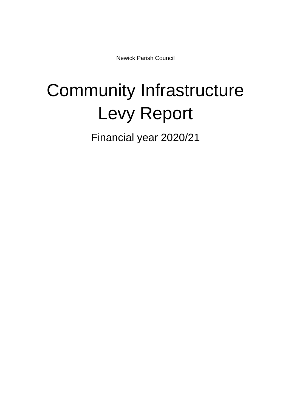Newick Parish Council

## Community Infrastructure Levy Report

Financial year 2020/21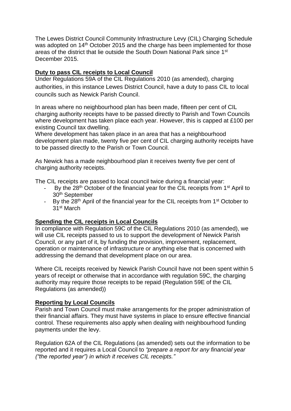The Lewes District Council Community Infrastructure Levy (CIL) Charging Schedule was adopted on 14<sup>th</sup> October 2015 and the charge has been implemented for those areas of the district that lie outside the South Down National Park since 1st December 2015.

## **Duty to pass CIL receipts to Local Council**

Under Regulations 59A of the CIL Regulations 2010 (as amended), charging authorities, in this instance Lewes District Council, have a duty to pass CIL to local councils such as Newick Parish Council.

In areas where no neighbourhood plan has been made, fifteen per cent of CIL charging authority receipts have to be passed directly to Parish and Town Councils where development has taken place each year. However, this is capped at £100 per existing Council tax dwelling.

Where development has taken place in an area that has a neighbourhood development plan made, twenty five per cent of CIL charging authority receipts have to be passed directly to the Parish or Town Council.

As Newick has a made neighbourhood plan it receives twenty five per cent of charging authority receipts.

The CIL receipts are passed to local council twice during a financial year:

- By the 28<sup>th</sup> October of the financial year for the CIL receipts from 1<sup>st</sup> April to 30th September
- By the  $28<sup>th</sup>$  April of the financial year for the CIL receipts from  $1<sup>st</sup>$  October to 31st March

## **Spending the CIL receipts in Local Councils**

In compliance with Regulation 59C of the CIL Regulations 2010 (as amended), we will use CIL receipts passed to us to support the development of Newick Parish Council, or any part of it, by funding the provision, improvement, replacement, operation or maintenance of infrastructure or anything else that is concerned with addressing the demand that development place on our area.

Where CIL receipts received by Newick Parish Council have not been spent within 5 years of receipt or otherwise that in accordance with regulation 59C, the charging authority may require those receipts to be repaid (Regulation 59E of the CIL Regulations (as amended))

## **Reporting by Local Councils**

Parish and Town Council must make arrangements for the proper administration of their financial affairs. They must have systems in place to ensure effective financial control. These requirements also apply when dealing with neighbourhood funding payments under the levy.

Regulation 62A of the CIL Regulations (as amended) sets out the information to be reported and it requires a Local Council to *"prepare a report for any financial year ("the reported year") in which it receives CIL receipts."*